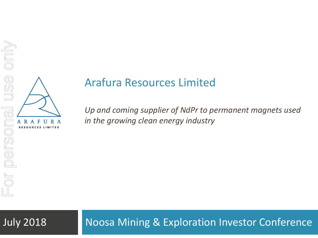

# Arafura Resources Limited

*Up and coming supplier of NdPr to permanent magnets used in the growing clean energy industry* Arafura Resources Limited<br>  $U_p$  and coming supplier of NdPr to permanent magnets used<br>  $U_p$  and coming supplier of NdPr to permanent magnets used<br>  $U_p$  and coming supplier of NdPr to permanent magnets used<br>  $U_p$ <br>  $U_q$ <br>  $U_q$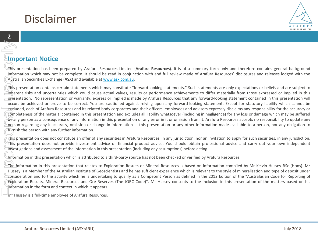## Disclaimer

### **Important Notice**

This presentation has been prepared by Arafura Resources Limited (**Arafura Resources**). It is of a summary form only and therefore contains general background information which may not be complete. It should be read in conjunction with and full review made of Arafura Resources' disclosures and releases lodged with the Australian Securities Exchange (**ASX**) and available at [www.asx.com.au.](http://www.asx.com.au/)

This presentation contains certain statements which may constitute "forward-looking statements." Such statements are only expectations or beliefs and are subject to  $\overline{\phantom{a}}$  inherent risks and uncertainties which could cause actual values, results or performance achievements to differ materially from those expressed or implied in this presentation. No representation or warranty, express or implied is made by Arafura Resources that any forward-looking statement contained in this presentation will occur, be achieved or prove to be correct. You are cautioned against relying upon any forward-looking statement. Except for statutory liability which cannot be excluded, each of Arafura Resources and its related body corporates and their officers, employees and advisers expressly disclaims any responsibility for the accuracy or completeness of the material contained in this presentation and excludes all liability whatsoever (including in negligence) for any loss or damage which may be suffered  $\frac{b}{v}$ any person as a consequence of any information in this presentation or any error in it or omission from it. Arafura Resources accepts no responsibility to update any person regarding any inaccuracy, omission or change in information in this presentation or any other information made available to a person, nor any obligation to furnish the person with any further information. For Personal use of this information of the Huss Control of the Huss Control of the Huss Control of the Huss Control of the Huss Control of the Huss Control of the Huss Control of the Huss Control of the Huss Control of th

This presentation does not constitute an offer of any securities in Arafura Resources, in any jurisdiction, nor an invitation to apply for such securities, in any jurisdiction. This presentation does not provide investment advice or financial product advice. You should obtain professional advice and carry out your own independent investigations and assessment of the information in this presentation (including any assumptions) before acting.

Information in this presentation which is attributed to a third-party source has not been checked or verified by Arafura Resources.

 $\blacktriangleright$ The information in this presentation that relates to Exploration Results or Mineral Resources is based on information compiled by Mr Kelvin Hussey BSc (Hons). Mr Hussey is a Member of the Australian Institute of Geoscientists and he has sufficient experience which is relevant to the style of mineralisation and type of deposit under consideration and to the activity which he is undertaking to qualify as a Competent Person as defined in the 2012 Edition of the "Australasian Code for Reporting of Exploration Results, Mineral Resources and Ore Reserves (The JORC Code)". Mr Hussey consents to the inclusion in this presentation of the matters based on his information in the form and context in which it appears.

Mr Hussey is a full-time employee of Arafura Resources.

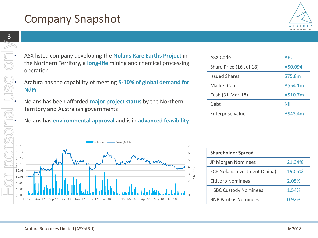# Company Snapshot

- ASX listed company developing the **Nolans Rare Earths Project** in the Northern Territory, a **long-life** mining and chemical processing operation the Northern Territory, a **long-life** mining and chemical processing operation
- Arafura has the capability of meeting **5-10% of global demand for**<br> **Allength Mondon**<br> **Allength Mondon Mondon Mondon Strates by the Northern**<br> **Allength Mondon Mondon Mondon Strates by the Northern NdPr**
	- Nolans has been afforded **major project status** by the Northern Territory and Australian governments
	- Nolans has **environmental approval** and is in **advanced feasibility**



| <b>ASX Code</b>         | ARU      |
|-------------------------|----------|
| Share Price (16-Jul-18) | A\$0.094 |
| <b>Issued Shares</b>    | 575.8m   |
| Market Cap              | A\$54.1m |
| Cash (31-Mar-18)        | A\$10.7m |
| Debt                    | Nil      |
| <b>Enterprise Value</b> | A\$43.4m |

| <b>Shareholder Spread</b>     |        |
|-------------------------------|--------|
| JP Morgan Nominees            | 21.34% |
| ECE Nolans Investment (China) | 19.05% |
| <b>Citicorp Nominees</b>      | 2.05%  |
| <b>HSBC Custody Nominees</b>  | 1.54%  |
| <b>BNP Paribas Nominees</b>   | 0.92%  |

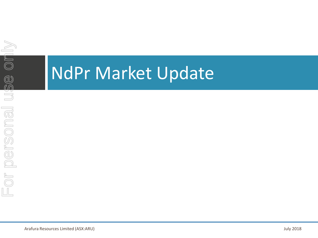

# NdPr Market Update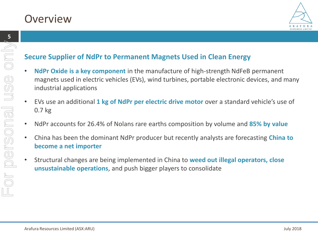

### **Secure Supplier of NdPr to Permanent Magnets Used in Clean Energy**

- **NdPr Oxide is a key component** in the manufacture of high-strength NdFeB permanent magnets used in electric vehicles (EVs), wind turbines, portable electronic devices, and many industrial applications
- EVs use an additional **1 kg of NdPr per electric drive motor** over a standard vehicle's use of 0.7 kg
- NdPr accounts for 26.4% of Nolans rare earths composition by volume and **85% by value**
- China has been the dominant NdPr producer but recently analysts are forecasting **China to become a net importer**
- Structural changes are being implemented in China to **weed out illegal operators, close unsustainable operations**, and push bigger players to consolidate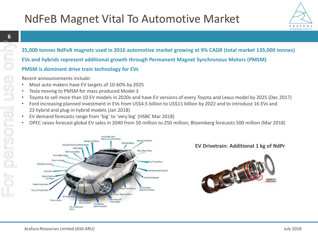

### **25,000 tonnes NdFeB magnets used in 2016 automotive market growing at 9% CAGR (total market 135,000 tonnes)**

**EVs and hybrids represent additional growth through Permanent Magnet Synchronous Motors (PMSM)**

### **PMSM is dominant drive train technology for EVs**

Recent announcements include:

- Most auto makers have EV targets of 10-60% by 2025
- Tesla moving to PMSM for mass produced Model 3
- Toyota to sell more than 10 EV models in 2020s and have EV versions of every Toyota and Lexus model by 2025 (Dec 2017)
- Ford increasing planned investment in EVs from US\$4.5 billion to US\$11 billion by 2022 and to introduce 16 EVs and 23 hybrid and plug-in hybrid models (Jan 2018)
- EV demand forecasts range from 'big' to 'very big' (HSBC Mar 2018)
- OPEC raises forecast global EV sales in 2040 from 50 million to 250 million; Bloomberg forecasts 500 million (Mar 2018)



### **EV Drivetrain: Additional 1 kg of NdPr**

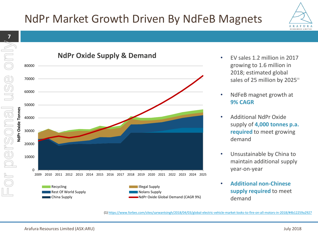# NdPr Market Growth Driven By NdFeB Magnets





- EV sales 1.2 million in 2017 growing to 1.6 million in 2018; estimated global sales of 25 million by 2025<sup>(1)</sup>
- NdFeB magnet growth at **9% CAGR**
- Additional NdPr Oxide supply of **4,000 tonnes p.a. required** to meet growing demand
- Unsustainable by China to maintain additional supply year-on-year
- **Additional non-Chinese supply required** to meet demand

(1) <https://www.forbes.com/sites/sarwantsingh/2018/04/03/global-electric-vehicle-market-looks-to-fire-on-all-motors-in-2018/#4b12259a2927>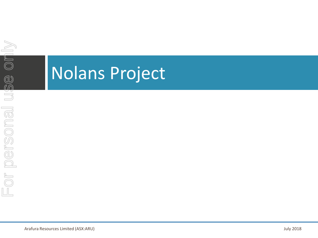# Nolans Project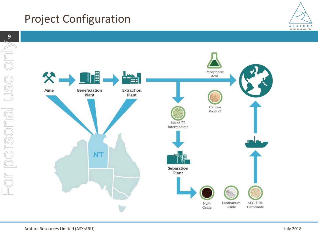# Project Configuration



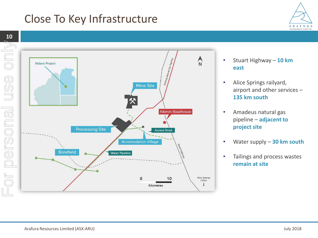# Close To Key Infrastructure



- Stuart Highway **10 km east**
- Alice Springs railyard, airport and other services – **135 km south**
- Amadeus natural gas pipeline – **adjacent to project site**
- Water supply **30 km south**
- Tailings and process wastes **remain at site**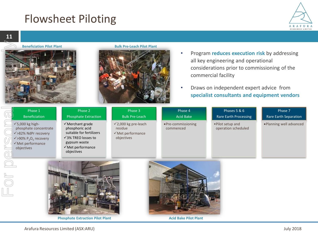# Flowsheet Piloting







#### **Beneficiation Pilot Plant Bulk Pre-Leach Pilot Plant**



- Program **reduces execution risk** by addressing all key engineering and operational considerations prior to commissioning of the commercial facility
- Draws on independent expert advice from **specialist consultants and equipment vendors**

| Phase 1<br><b>Beneficiation</b>                                                                                                                    | Phase 2<br><b>Phosphate Extraction</b>                                                                                                                                  | Phase 3<br><b>Bulk Pre-Leach</b>                                                         | Phase 4<br><b>Acid Bake</b>     | Phases 5 & 6<br>Rare Earth Processing    | Phase 7<br>Rare Earth Separation |
|----------------------------------------------------------------------------------------------------------------------------------------------------|-------------------------------------------------------------------------------------------------------------------------------------------------------------------------|------------------------------------------------------------------------------------------|---------------------------------|------------------------------------------|----------------------------------|
| $\checkmark$ 5,000 kg high-<br>phosphate concentrate<br>√>82% NdPr recovery<br>$\sqrt{90\% P_{2}O_{5}}$ recovery<br>√Met performance<br>objectives | $\checkmark$ Merchant grade<br>phosphoric acid<br>suitable for fertilizers<br>$\sqrt{3\%}$ TREO losses to<br>gypsum waste<br>$\checkmark$ Met performance<br>objectives | $\checkmark$ 2,000 kg pre-leach<br>residue<br>$\checkmark$ Met performance<br>objectives | •Pre-commissioning<br>commenced | . Pilot setup and<br>operation scheduled | ·Planning well advanced          |
|                                                                                                                                                    |                                                                                                                                                                         |                                                                                          |                                 |                                          |                                  |



**Phosphate Extraction Pilot Plant**



**Acid Bake Pilot Plant**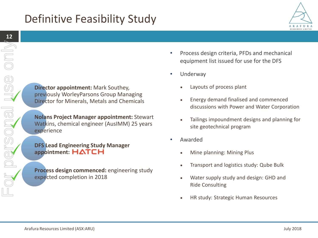# Definitive Feasibility Study



**Director appointment:** Mark Southey, previously WorleyParsons Group Managing Director for Minerals, Metals and Chemicals

**Nolans Project Manager appointment:** Stewart Watkins, chemical engineer (AusIMM) 25 years experience

**DFS Lead Engineering Study Manager appointment: HATCH** 

**Process design commenced:** engineering study expected completion in 2018

- Process design criteria, PFDs and mechanical equipment list issued for use for the DFS
- Underway
	- Layouts of process plant
	- Energy demand finalised and commenced discussions with Power and Water Corporation
	- Tailings impoundment designs and planning for site geotechnical program
- Awarded
	- Mine planning: Mining Plus
	- Transport and logistics study: Qube Bulk
	- Water supply study and design: GHD and Ride Consulting
	- HR study: Strategic Human Resources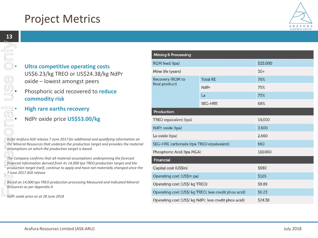

**Example 15 Occurs 2016 19:40 PM**<br> **Ultra competitive operating costs**<br>
US\$6.23/kg TREO or US\$24.38/kg<br>
oxide – lowest amongst peers<br>
Phosphoric acid recovered to redu<br>
commodity risk US\$6.23/kg TREO or US\$24.38/kg NdPr oxide – lowest amongst peers

### • Phosphoric acid recovered to **reduce commodity risk**

- 
- NdPr oxide price **US\$53.00/kg**

*Refer Arafura ASX release 7 June 2017 for additional and qualifying information on the Mineral Resources that underpin the production target and provides the material assumptions on which the production target is based*

*The Company confirms that all material assumptions underpinning the forecast financial information derived from its 14,000 tpa TREO production target and the production target itself, continue to apply and have not materially changed since the 7 June 2017 ASX release*

*Based on 14,000 tpa TREO production processing Measured and Indicated Mineral Resources as per Appendix A*

| Mining & Processing                                   |                 |         |  |  |  |
|-------------------------------------------------------|-----------------|---------|--|--|--|
| ROM feed (tpa)                                        |                 | 525,000 |  |  |  |
| Mine life (years)                                     | $30+$           |         |  |  |  |
| Recovery (ROM to                                      | <b>Total RE</b> | 76%     |  |  |  |
| final product)                                        | NdPr            | 75%     |  |  |  |
|                                                       | La              | 75%     |  |  |  |
|                                                       | <b>SEG-HRE</b>  | 68%     |  |  |  |
| Production                                            |                 |         |  |  |  |
| TREO equivalent (tpa)                                 | 14,000          |         |  |  |  |
| NdPr oxide (tpa)                                      | 3,600           |         |  |  |  |
| La oxide (tpa)                                        | 2,660           |         |  |  |  |
| SEG-HRE carbonate (tpa TREO equilvalent)              | 660             |         |  |  |  |
| Phosphoric Acid (tpa MGA)                             | 110,000         |         |  |  |  |
| Financial                                             |                 |         |  |  |  |
| Capital cost (US\$m)                                  | \$680           |         |  |  |  |
| Operating cost (US\$m pa)                             | \$125           |         |  |  |  |
| Operating cost (US\$/ kg TREO)                        | \$8.89          |         |  |  |  |
| Operating cost (US\$/ kg TREO; less credit phos acid) | <b>S6.23</b>    |         |  |  |  |
| Operating cost (US\$/ kg NdPr; less credit phos acid) | \$24.38         |         |  |  |  |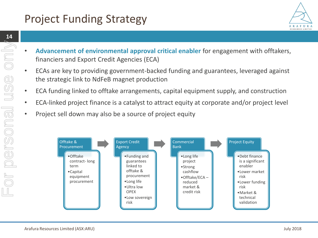# Project Funding Strategy

- ARAFURA RESOURCES LIMITED
- **Advancement of environmental approval critical enabler** for engagement with offtakers, financiers and Export Credit Agencies (ECA)
- ECAs are key to providing government-backed funding and guarantees, leveraged against the strategic link to NdFeB magnet production
- ECA funding linked to offtake arrangements, capital equipment supply, and construction
- ECA-linked project finance is a catalyst to attract equity at corporate and/or project level
- Project sell down may also be a source of project equity

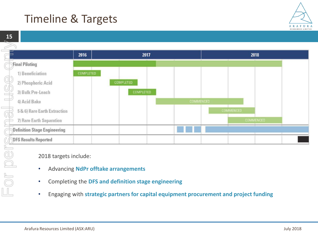# Timeline & Targets

2017

COMPLETED



2018

COMMENCED

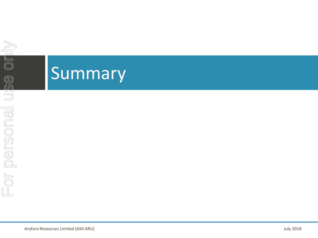# **Summary**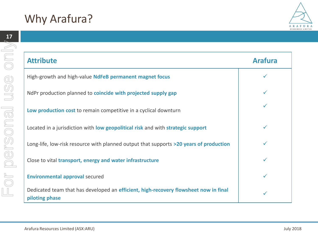





**piloting phase**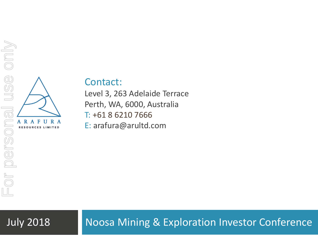

### Contact:

Level 3, 263 Adelaide Terrace Perth, WA, 6000, Australia T: +61 8 6210 7666 E: arafura@arultd.com

### July 2018 Noosa Mining & Exploration Investor Conference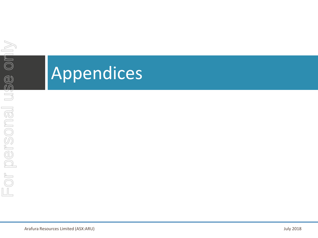# Appendices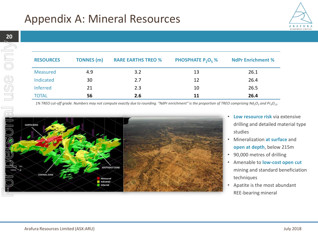

| <b>RESOURCES</b> | <b>TONNES</b> (m) | <b>RARE EARTHS TREO %</b> | <b>PHOSPHATE P<sub>2</sub>O<sub>5</sub> %</b> | <b>NdPr Enrichment %</b> |
|------------------|-------------------|---------------------------|-----------------------------------------------|--------------------------|
| <b>Measured</b>  | 4.9               | 3.2                       | 13                                            | 26.1                     |
| Indicated        | 30                | 2.7                       | 12                                            | 26.4                     |
| <b>Inferred</b>  | 21                | 2.3                       | 10                                            | 26.5                     |
| <b>TOTAL</b>     | 56                | 2.6                       | 11                                            | 26.4                     |

*1% TREO cut-off grade. Numbers may not compute exactly due to rounding. "NdPr enrichment" is the proportion of TREO comprising Nd2O<sup>3</sup> and Pr6O11.*



- **Low resource risk** via extensive drilling and detailed material type studies
- Mineralization **at surface** and **open at depth**, below 215m
- 90,000 metres of drilling
- Amenable to **low-cost open cut** mining and standard beneficiation techniques
- Apatite is the most abundant REE-bearing mineral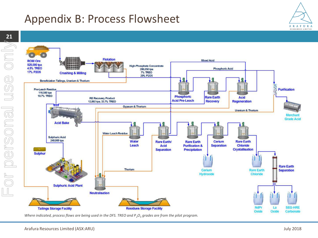# Appendix B: Process Flowsheet

**21** For personal use onlyor personal



*Where indicated, process flows are being used in the DFS. TREO and P<sub>2</sub>O<sub>5</sub> grades are from the pilot program.* 

ARAFURA RESOURCES LIMITED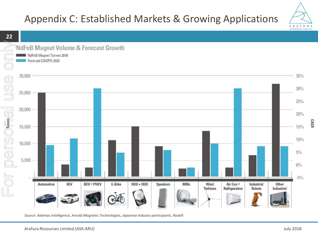## Appendix C: Established Markets & Growing Applications



**CAGR** 



*Source: Adamas Intelligence, Arnold Magnetic Technologies, Japanese industry participants, Roskill*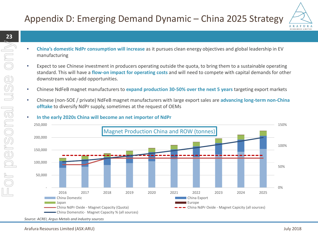### Appendix D: Emerging Demand Dynamic – China 2025 Strategy



- **China's domestic NdPr consumption will increase** as it pursues clean energy objectives and global leadership in EV manufacturing
- Expect to see Chinese investment in producers operating outside the quota, to bring them to a sustainable operating standard. This will have a **flow-on impact for operating costs** and will need to compete with capital demands for other downstream value-add opportunities.
- Chinese NdFeB magnet manufacturers to **expand production 30-50% over the next 5 years** targeting export markets
- Chinese (non-SOE / private) NdFeB magnet manufacturers with large export sales are **advancing long-term non-China offtake** to diversify NdPr supply, sometimes at the request of OEMs

### • **In the early 2020s China will become an net importer of NdPr**



*Source: ACREI, Argus Metals and industry sources*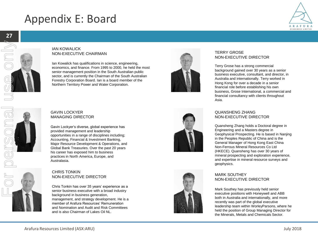# Appendix E: Board



### IAN KOWALICK NON-EXECUTIVE CHAIRMAN

Ian Kowalick has qualifications in science, engineering, economics, and finance. From 1995 to 2000, he held the most senior management position in the South Australian public sector, and is currently the Chairman of the South Australian Forestry Corporation Board. Ian is a board member of the Northern Territory Power and Water Corporation.



### TERRY GROSE NON-EXECUTIVE DIRECTOR

Terry Grose has a strong commercial background gained over 30 years as a senior business executive, consultant, and director, in Australia and internationally. Terry worked in Hong Kong for over a decade in a senior financial role before establishing his own business, Grose International, a commercial and financial consultancy with clients throughout Asia.

### GAVIN LOCKYER MANAGING DIRECTOR

Gavin Lockyer's diverse, global experience has provided management and leadership opportunities in a range of disciplines including; Accounting, Financial & Investment Banking, Major Resource Development & Operations, and Global Bank Treasuries. Over the past 20 years his career has exposed him to business practices in North America, Europe, and Australasia.

### CHRIS TONKIN NON-EXECUTIVE DIRECTOR

Chris Tonkin has over 35 years' experience as a senior business executive with a broad industry background in business generation, management, and strategy development. He is a member of Arafura Resources' Remuneration and Nomination and Audit and Risk Committees and is also Chairman of Lakes Oil NL.





### QUANSHENG ZHANG NON-EXECUTIVE DIRECTOR

Quansheng Zhang holds a Doctoral degree in Engineering and a Masters degree in Geophysical Prospecting. He is based in Nanjing in the Peoples Republic of China and is the General Manager of Hong Kong East China Non-Ferrous Mineral Resources Co Ltd (HKECE). Quansheng has over 30 years of mineral prospecting and exploration experience, and expertise in mineral resource surveys and geophysics.

### MARK SOUTHEY NON-EXECUTIVE DIRECTOR

Mark Southey has previously held senior executive positions with Honeywell and ABB both in Australia and internationally, and more recently was part of the global executive leadership team within WorleyParsons, where he held the position of Group Managing Director for the Minerals, Metals and Chemicals Sector.